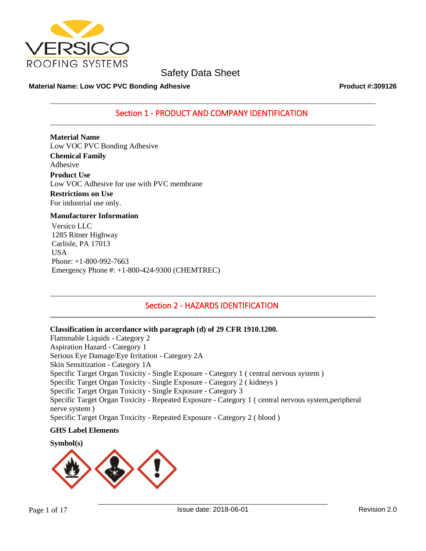

## **Material Name: Low VOC PVC Bonding Adhesive <b>Product #:309126** Product #:309126

## Section 1 - PRODUCT AND COMPANY IDENTIFICATION

**Material Name** Low VOC PVC Bonding Adhesive **Chemical Family** Adhesive **Product Use** Low VOC Adhesive for use with PVC membrane **Restrictions on Use**

For industrial use only.

## **Manufacturer Information**

Versico LLC 1285 Ritner Highway Carlisle, PA 17013 **USA** Phone: +1-800-992-7663 Emergency Phone #: +1-800-424-9300 (CHEMTREC)

## Section 2 - HAZARDS IDENTIFICATION

## **Classification in accordance with paragraph (d) of 29 CFR 1910.1200.**

Flammable Liquids - Category 2 Aspiration Hazard - Category 1 Serious Eye Damage/Eye Irritation - Category 2A Skin Sensitization - Category 1A Specific Target Organ Toxicity - Single Exposure - Category 1 ( central nervous system ) Specific Target Organ Toxicity - Single Exposure - Category 2 ( kidneys ) Specific Target Organ Toxicity - Single Exposure - Category 3 Specific Target Organ Toxicity - Repeated Exposure - Category 1 ( central nervous system,peripheral nerve system ) Specific Target Organ Toxicity - Repeated Exposure - Category 2 ( blood )

## **GHS Label Elements**



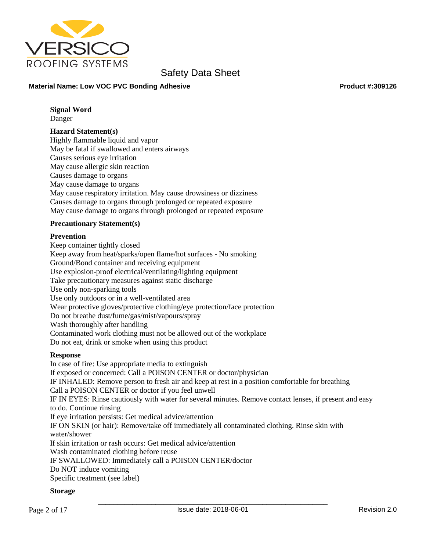

## **Material Name: Low VOC PVC Bonding Adhesive Product #:309126 Product #:309126**

## **Signal Word**

Danger

## **Hazard Statement(s)**

Highly flammable liquid and vapor May be fatal if swallowed and enters airways Causes serious eye irritation May cause allergic skin reaction Causes damage to organs May cause damage to organs May cause respiratory irritation. May cause drowsiness or dizziness Causes damage to organs through prolonged or repeated exposure May cause damage to organs through prolonged or repeated exposure

## **Precautionary Statement(s)**

## **Prevention**

Keep container tightly closed Keep away from heat/sparks/open flame/hot surfaces - No smoking Ground/Bond container and receiving equipment Use explosion-proof electrical/ventilating/lighting equipment Take precautionary measures against static discharge Use only non-sparking tools Use only outdoors or in a well-ventilated area Wear protective gloves/protective clothing/eye protection/face protection Do not breathe dust/fume/gas/mist/vapours/spray Wash thoroughly after handling Contaminated work clothing must not be allowed out of the workplace Do not eat, drink or smoke when using this product

## **Response**

In case of fire: Use appropriate media to extinguish If exposed or concerned: Call a POISON CENTER or doctor/physician IF INHALED: Remove person to fresh air and keep at rest in a position comfortable for breathing Call a POISON CENTER or doctor if you feel unwell IF IN EYES: Rinse cautiously with water for several minutes. Remove contact lenses, if present and easy to do. Continue rinsing If eye irritation persists: Get medical advice/attention IF ON SKIN (or hair): Remove/take off immediately all contaminated clothing. Rinse skin with water/shower If skin irritation or rash occurs: Get medical advice/attention Wash contaminated clothing before reuse IF SWALLOWED: Immediately call a POISON CENTER/doctor Do NOT induce vomiting Specific treatment (see label)

## **Storage**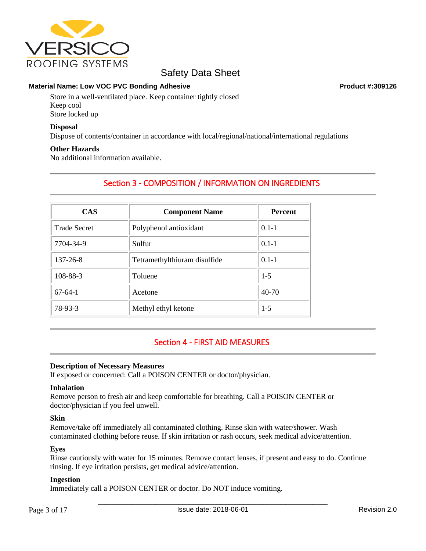

## **Material Name: Low VOC PVC Bonding Adhesive <b>Product #:309126** Product #:309126

Store in a well-ventilated place. Keep container tightly closed Keep cool Store locked up

## **Disposal**

Dispose of contents/container in accordance with local/regional/national/international regulations

## **Other Hazards**

No additional information available.

## Section 3 - COMPOSITION / INFORMATION ON INGREDIENTS

| <b>CAS</b>          | <b>Component Name</b>        | <b>Percent</b> |  |
|---------------------|------------------------------|----------------|--|
| <b>Trade Secret</b> | Polyphenol antioxidant       | $0.1 - 1$      |  |
| 7704-34-9           | Sulfur                       | $0.1 - 1$      |  |
| $137 - 26 - 8$      | Tetramethylthiuram disulfide | $0.1 - 1$      |  |
| 108-88-3            | Toluene                      | $1-5$          |  |
| $67-64-1$           | Acetone                      | 40-70          |  |
| 78-93-3             | Methyl ethyl ketone          | $1-5$          |  |

## Section 4 - FIRST AID MEASURES

## **Description of Necessary Measures**

If exposed or concerned: Call a POISON CENTER or doctor/physician.

## **Inhalation**

Remove person to fresh air and keep comfortable for breathing. Call a POISON CENTER or doctor/physician if you feel unwell.

## **Skin**

Remove/take off immediately all contaminated clothing. Rinse skin with water/shower. Wash contaminated clothing before reuse. If skin irritation or rash occurs, seek medical advice/attention.

## **Eyes**

Rinse cautiously with water for 15 minutes. Remove contact lenses, if present and easy to do. Continue rinsing. If eye irritation persists, get medical advice/attention.

## **Ingestion**

Immediately call a POISON CENTER or doctor. Do NOT induce vomiting.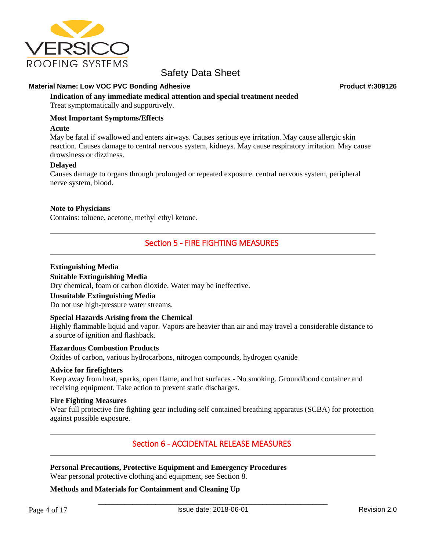

## **Material Name: Low VOC PVC Bonding Adhesive Product #:309126 Product #:309126**

**Indication of any immediate medical attention and special treatment needed** Treat symptomatically and supportively.

## **Most Important Symptoms/Effects**

## **Acute**

May be fatal if swallowed and enters airways. Causes serious eye irritation. May cause allergic skin reaction. Causes damage to central nervous system, kidneys. May cause respiratory irritation. May cause drowsiness or dizziness.

## **Delayed**

Causes damage to organs through prolonged or repeated exposure. central nervous system, peripheral nerve system, blood.

## **Note to Physicians**

Contains: toluene, acetone, methyl ethyl ketone.

## Section 5 - FIRE FIGHTING MEASURES

## **Extinguishing Media**

## **Suitable Extinguishing Media**

Dry chemical, foam or carbon dioxide. Water may be ineffective.

## **Unsuitable Extinguishing Media**

Do not use high-pressure water streams.

## **Special Hazards Arising from the Chemical**

Highly flammable liquid and vapor. Vapors are heavier than air and may travel a considerable distance to a source of ignition and flashback.

## **Hazardous Combustion Products**

Oxides of carbon, various hydrocarbons, nitrogen compounds, hydrogen cyanide

## **Advice for firefighters**

Keep away from heat, sparks, open flame, and hot surfaces - No smoking. Ground/bond container and receiving equipment. Take action to prevent static discharges.

## **Fire Fighting Measures**

Wear full protective fire fighting gear including self contained breathing apparatus (SCBA) for protection against possible exposure.

## Section 6 - ACCIDENTAL RELEASE MEASURES

## **Personal Precautions, Protective Equipment and Emergency Procedures**

Wear personal protective clothing and equipment, see Section 8.

## **Methods and Materials for Containment and Cleaning Up**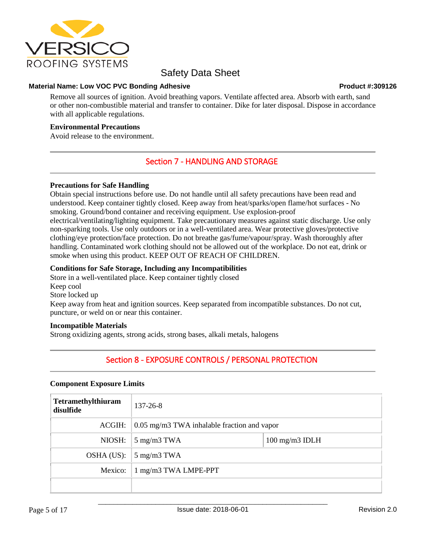

## **Material Name: Low VOC PVC Bonding Adhesive <b>Product #:309126** Product #:309126

Remove all sources of ignition. Avoid breathing vapors. Ventilate affected area. Absorb with earth, sand or other non-combustible material and transfer to container. Dike for later disposal. Dispose in accordance with all applicable regulations.

## **Environmental Precautions**

Avoid release to the environment.

## Section 7 - HANDLING AND STORAGE

## **Precautions for Safe Handling**

Obtain special instructions before use. Do not handle until all safety precautions have been read and understood. Keep container tightly closed. Keep away from heat/sparks/open flame/hot surfaces - No smoking. Ground/bond container and receiving equipment. Use explosion-proof electrical/ventilating/lighting equipment. Take precautionary measures against static discharge. Use only non-sparking tools. Use only outdoors or in a well-ventilated area. Wear protective gloves/protective clothing/eye protection/face protection. Do not breathe gas/fume/vapour/spray. Wash thoroughly after handling. Contaminated work clothing should not be allowed out of the workplace. Do not eat, drink or smoke when using this product. KEEP OUT OF REACH OF CHILDREN.

## **Conditions for Safe Storage, Including any Incompatibilities**

Store in a well-ventilated place. Keep container tightly closed Keep cool Store locked up Keep away from heat and ignition sources. Keep separated from incompatible substances. Do not cut, puncture, or weld on or near this container.

## **Incompatible Materials**

Strong oxidizing agents, strong acids, strong bases, alkali metals, halogens

## Section 8 - EXPOSURE CONTROLS / PERSONAL PROTECTION

## **Component Exposure Limits**

| Tetramethylthiuram<br>disulfide | $137 - 26 - 8$                                       |  |  |
|---------------------------------|------------------------------------------------------|--|--|
| ACGIH:                          | $0.05$ mg/m3 TWA inhalable fraction and vapor        |  |  |
| NIOSH:                          | $100$ mg/m $3$ IDLH<br>$5 \text{ mg/m}3 \text{ TWA}$ |  |  |
| OSHA (US):                      | $5 \text{ mg/m}3 \text{ TWA}$                        |  |  |
| Mexico:                         | 1 mg/m3 TWA LMPE-PPT                                 |  |  |
|                                 |                                                      |  |  |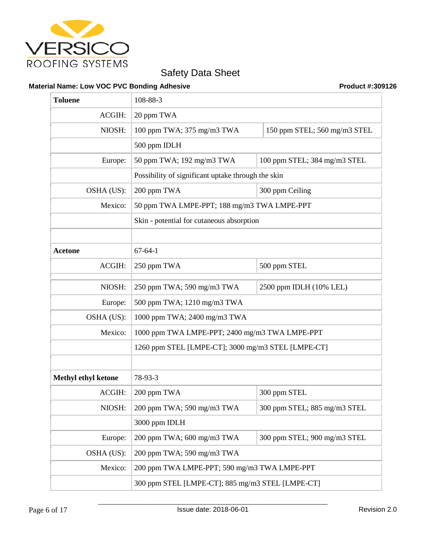

## **Material Name: Low VOC PVC Bonding Adhesive Product #:309126 Product #:309126**

| <b>Toluene</b>             | 108-88-3                                           |                              |  |
|----------------------------|----------------------------------------------------|------------------------------|--|
| ACGIH:                     | 20 ppm TWA                                         |                              |  |
| NIOSH:                     | 100 ppm TWA; 375 mg/m3 TWA                         | 150 ppm STEL; 560 mg/m3 STEL |  |
|                            | 500 ppm IDLH                                       |                              |  |
| Europe:                    | 50 ppm TWA; 192 mg/m3 TWA                          | 100 ppm STEL; 384 mg/m3 STEL |  |
|                            | Possibility of significant uptake through the skin |                              |  |
| OSHA (US):                 | 200 ppm TWA                                        | 300 ppm Ceiling              |  |
| Mexico:                    | 50 ppm TWA LMPE-PPT; 188 mg/m3 TWA LMPE-PPT        |                              |  |
|                            | Skin - potential for cutaneous absorption          |                              |  |
|                            |                                                    |                              |  |
| <b>Acetone</b>             | $67 - 64 - 1$                                      |                              |  |
| ACGIH:                     | 250 ppm TWA                                        | 500 ppm STEL                 |  |
| NIOSH:                     | 250 ppm TWA; 590 mg/m3 TWA                         | 2500 ppm IDLH (10% LEL)      |  |
| Europe:                    | 500 ppm TWA; 1210 mg/m3 TWA                        |                              |  |
| OSHA (US):                 | 1000 ppm TWA; 2400 mg/m3 TWA                       |                              |  |
| Mexico:                    | 1000 ppm TWA LMPE-PPT; 2400 mg/m3 TWA LMPE-PPT     |                              |  |
|                            | 1260 ppm STEL [LMPE-CT]; 3000 mg/m3 STEL [LMPE-CT] |                              |  |
|                            |                                                    |                              |  |
| <b>Methyl ethyl ketone</b> | 78-93-3                                            |                              |  |
| ACGIH:                     | 200 ppm TWA                                        | 300 ppm STEL                 |  |
| NIOSH:                     | 200 ppm TWA; 590 mg/m3 TWA                         | 300 ppm STEL; 885 mg/m3 STEL |  |
|                            | 3000 ppm IDLH                                      |                              |  |
| Europe:                    | 200 ppm TWA; 600 mg/m3 TWA                         | 300 ppm STEL; 900 mg/m3 STEL |  |
| OSHA (US):                 | 200 ppm TWA; 590 mg/m3 TWA                         |                              |  |
| Mexico:                    | 200 ppm TWA LMPE-PPT; 590 mg/m3 TWA LMPE-PPT       |                              |  |
|                            | 300 ppm STEL [LMPE-CT]; 885 mg/m3 STEL [LMPE-CT]   |                              |  |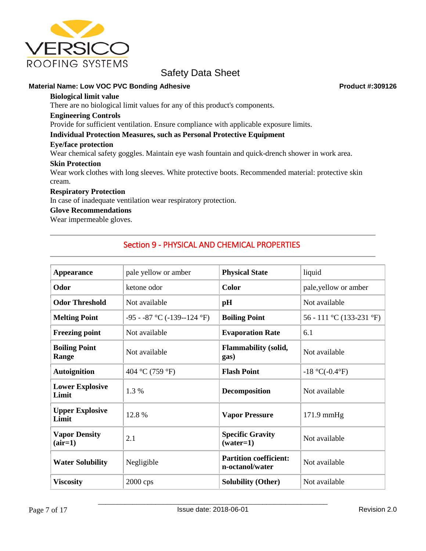

## **Material Name: Low VOC PVC Bonding Adhesive Product #:309126 Product #:309126**

**Biological limit value**

There are no biological limit values for any of this product's components.

#### **Engineering Controls**

Provide for sufficient ventilation. Ensure compliance with applicable exposure limits.

## **Individual Protection Measures, such as Personal Protective Equipment**

## **Eye/face protection**

Wear chemical safety goggles. Maintain eye wash fountain and quick-drench shower in work area.

## **Skin Protection**

Wear work clothes with long sleeves. White protective boots. Recommended material: protective skin cream.

## **Respiratory Protection**

In case of inadequate ventilation wear respiratory protection.

## **Glove Recommendations**

Wear impermeable gloves.

## Section 9 - PHYSICAL AND CHEMICAL PROPERTIES

| <b>Appearance</b>                 | pale yellow or amber             | <b>Physical State</b>                                             | liquid                   |
|-----------------------------------|----------------------------------|-------------------------------------------------------------------|--------------------------|
| Odor                              | ketone odor                      | <b>Color</b>                                                      | pale,yellow or amber     |
| <b>Odor Threshold</b>             | Not available                    | pH                                                                | Not available            |
| <b>Melting Point</b>              | $-95 - 87$ °C ( $-139 - 124$ °F) | <b>Boiling Point</b>                                              | 56 - 111 °C (133-231 °F) |
| <b>Freezing point</b>             | Not available                    | <b>Evaporation Rate</b>                                           | 6.1                      |
| <b>Boiling Point</b><br>Range     | Not available                    | <b>Flammability (solid,</b><br>Not available<br>gas)              |                          |
| <b>Autoignition</b>               | 404 °C (759 °F)                  | <b>Flash Point</b><br>$-18$ °C( $-0.4$ °F)                        |                          |
| <b>Lower Explosive</b><br>Limit   | 1.3 %                            | Not available<br><b>Decomposition</b>                             |                          |
| <b>Upper Explosive</b><br>Limit   | 12.8%                            | <b>Vapor Pressure</b>                                             | $171.9$ mmHg             |
| <b>Vapor Density</b><br>$(air=1)$ | 2.1                              | <b>Specific Gravity</b><br>Not available<br>$(water=1)$           |                          |
| <b>Water Solubility</b>           | Negligible                       | <b>Partition coefficient:</b><br>Not available<br>n-octanol/water |                          |
| <b>Viscosity</b>                  | $2000$ cps                       | <b>Solubility (Other)</b>                                         | Not available            |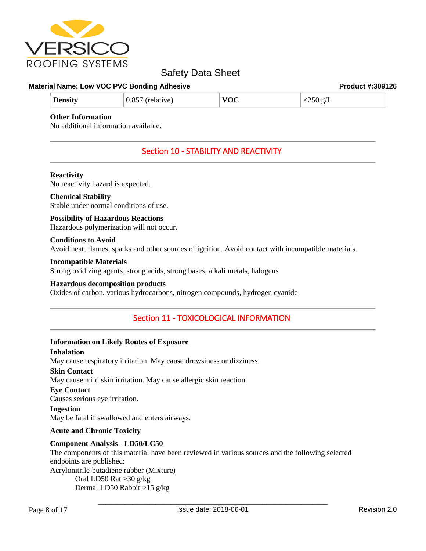

#### **Material Name: Low VOC PVC Bonding Adhesive <b>Product #:309126** Product #:309126

| <b>Density</b><br>(relative)<br>U.X | VOC | <250<br>் ஜ/ட<br>$\sim$ $<$ $\sim$<br>$\sim$ |
|-------------------------------------|-----|----------------------------------------------|
|-------------------------------------|-----|----------------------------------------------|

## **Other Information**

No additional information available.

# Section 10 - STABILITY AND REACTIVITY

#### **Reactivity**

No reactivity hazard is expected.

## **Chemical Stability**

Stable under normal conditions of use.

# **Possibility of Hazardous Reactions**

Hazardous polymerization will not occur.

## **Conditions to Avoid**

Avoid heat, flames, sparks and other sources of ignition. Avoid contact with incompatible materials.

#### **Incompatible Materials**

Strong oxidizing agents, strong acids, strong bases, alkali metals, halogens

## **Hazardous decomposition products**

Oxides of carbon, various hydrocarbons, nitrogen compounds, hydrogen cyanide

## Section 11 - TOXICOLOGICAL INFORMATION

## **Information on Likely Routes of Exposure**

## **Inhalation**

May cause respiratory irritation. May cause drowsiness or dizziness.

## **Skin Contact**

May cause mild skin irritation. May cause allergic skin reaction.

## **Eye Contact**

Causes serious eye irritation.

**Ingestion**

May be fatal if swallowed and enters airways.

## **Acute and Chronic Toxicity**

## **Component Analysis - LD50/LC50**

The components of this material have been reviewed in various sources and the following selected endpoints are published: Acrylonitrile-butadiene rubber (Mixture) Oral LD50 Rat >30 g/kg Dermal LD50 Rabbit >15 g/kg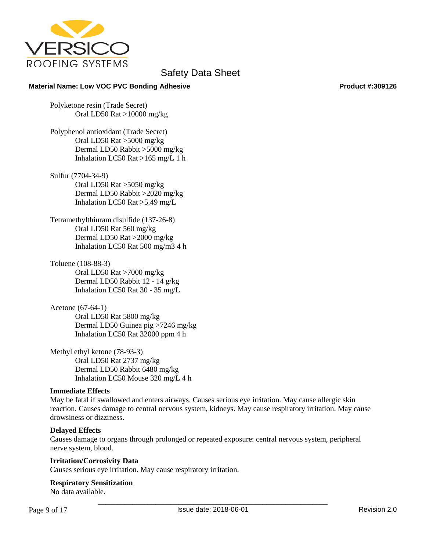

## **Material Name: Low VOC PVC Bonding Adhesive <b>Product #:309126** Product #:309126

Polyketone resin (Trade Secret) Oral LD50 Rat >10000 mg/kg

Polyphenol antioxidant (Trade Secret) Oral LD50 Rat >5000 mg/kg Dermal LD50 Rabbit >5000 mg/kg Inhalation LC50 Rat >165 mg/L 1 h

Sulfur (7704-34-9) Oral LD50 Rat >5050 mg/kg Dermal LD50 Rabbit >2020 mg/kg Inhalation LC50 Rat >5.49 mg/L

Tetramethylthiuram disulfide (137-26-8) Oral LD50 Rat 560 mg/kg Dermal LD50 Rat >2000 mg/kg Inhalation LC50 Rat 500 mg/m3 4 h

Toluene (108-88-3) Oral LD50 Rat >7000 mg/kg Dermal LD50 Rabbit 12 - 14 g/kg Inhalation LC50 Rat 30 - 35 mg/L

Acetone (67-64-1) Oral LD50 Rat 5800 mg/kg Dermal LD50 Guinea pig >7246 mg/kg Inhalation LC50 Rat 32000 ppm 4 h

Methyl ethyl ketone (78-93-3) Oral LD50 Rat 2737 mg/kg Dermal LD50 Rabbit 6480 mg/kg Inhalation LC50 Mouse 320 mg/L 4 h

## **Immediate Effects**

May be fatal if swallowed and enters airways. Causes serious eye irritation. May cause allergic skin reaction. Causes damage to central nervous system, kidneys. May cause respiratory irritation. May cause drowsiness or dizziness.

## **Delayed Effects**

Causes damage to organs through prolonged or repeated exposure: central nervous system, peripheral nerve system, blood.

## **Irritation/Corrosivity Data**

Causes serious eye irritation. May cause respiratory irritation.

## **Respiratory Sensitization**

No data available.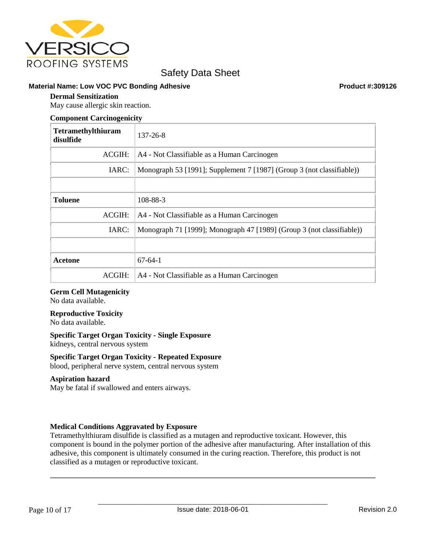

## **Material Name: Low VOC PVC Bonding Adhesive <b>Product #:309126** Product #:309126

## **Dermal Sensitization**

May cause allergic skin reaction.

#### **Component Carcinogenicity**

| <b>Tetramethylthiuram</b><br>disulfide | $137 - 26 - 8$                                                        |
|----------------------------------------|-----------------------------------------------------------------------|
| ACGIH:                                 | A4 - Not Classifiable as a Human Carcinogen                           |
| IARC:                                  | Monograph 53 [1991]; Supplement 7 [1987] (Group 3 (not classifiable)) |
|                                        |                                                                       |
| <b>Toluene</b>                         | 108-88-3                                                              |
| ACGIH:                                 | A4 - Not Classifiable as a Human Carcinogen                           |
| IARC:                                  | Monograph 71 [1999]; Monograph 47 [1989] (Group 3 (not classifiable)) |
|                                        |                                                                       |
| Acetone                                | $67 - 64 - 1$                                                         |
| ACGIH:                                 | A4 - Not Classifiable as a Human Carcinogen                           |

## **Germ Cell Mutagenicity**

No data available.

## **Reproductive Toxicity**

No data available.

## **Specific Target Organ Toxicity - Single Exposure**

kidneys, central nervous system

## **Specific Target Organ Toxicity - Repeated Exposure**

blood, peripheral nerve system, central nervous system

## **Aspiration hazard**

May be fatal if swallowed and enters airways.

## **Medical Conditions Aggravated by Exposure**

Tetramethylthiuram disulfide is classified as a mutagen and reproductive toxicant. However, this component is bound in the polymer portion of the adhesive after manufacturing. After installation of this adhesive, this component is ultimately consumed in the curing reaction. Therefore, this product is not classified as a mutagen or reproductive toxicant.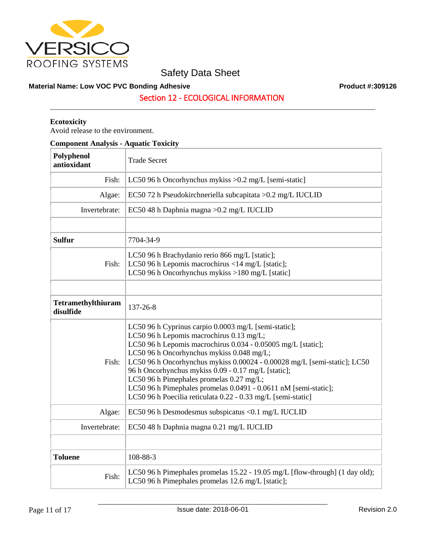

## **Material Name: Low VOC PVC Bonding Adhesive Product #:309126 Product #:309126**

Section 12 - ECOLOGICAL INFORMATION

## **Ecotoxicity**

Avoid release to the environment.

| <b>Component Analysis - Aquatic Toxicity</b> |                                                                                                                                                                                                                                                                                                                                                                                                                                                                                                                                 |  |
|----------------------------------------------|---------------------------------------------------------------------------------------------------------------------------------------------------------------------------------------------------------------------------------------------------------------------------------------------------------------------------------------------------------------------------------------------------------------------------------------------------------------------------------------------------------------------------------|--|
| Polyphenol<br>antioxidant                    | <b>Trade Secret</b>                                                                                                                                                                                                                                                                                                                                                                                                                                                                                                             |  |
| Fish:                                        | LC50 96 h Oncorhynchus mykiss $>0.2$ mg/L [semi-static]                                                                                                                                                                                                                                                                                                                                                                                                                                                                         |  |
| Algae:                                       | EC50 72 h Pseudokirchneriella subcapitata > 0.2 mg/L IUCLID                                                                                                                                                                                                                                                                                                                                                                                                                                                                     |  |
| Invertebrate:                                | EC50 48 h Daphnia magna > 0.2 mg/L IUCLID                                                                                                                                                                                                                                                                                                                                                                                                                                                                                       |  |
|                                              |                                                                                                                                                                                                                                                                                                                                                                                                                                                                                                                                 |  |
| <b>Sulfur</b>                                | 7704-34-9                                                                                                                                                                                                                                                                                                                                                                                                                                                                                                                       |  |
| Fish:                                        | LC50 96 h Brachydanio rerio 866 mg/L [static];<br>LC50 96 h Lepomis macrochirus <14 mg/L [static];<br>LC50 96 h Oncorhynchus mykiss >180 mg/L [static]                                                                                                                                                                                                                                                                                                                                                                          |  |
|                                              |                                                                                                                                                                                                                                                                                                                                                                                                                                                                                                                                 |  |
| Tetramethylthiuram<br>disulfide              | 137-26-8                                                                                                                                                                                                                                                                                                                                                                                                                                                                                                                        |  |
| Fish:                                        | LC50 96 h Cyprinus carpio 0.0003 mg/L [semi-static];<br>LC50 96 h Lepomis macrochirus 0.13 mg/L;<br>LC50 96 h Lepomis macrochirus 0.034 - 0.05005 mg/L [static];<br>LC50 96 h Oncorhynchus mykiss 0.048 mg/L;<br>LC50 96 h Oncorhynchus mykiss 0.00024 - 0.00028 mg/L [semi-static]; LC50<br>96 h Oncorhynchus mykiss 0.09 - 0.17 mg/L [static];<br>LC50 96 h Pimephales promelas 0.27 mg/L;<br>LC50 96 h Pimephales promelas 0.0491 - 0.0611 nM [semi-static];<br>LC50 96 h Poecilia reticulata 0.22 - 0.33 mg/L [semi-static] |  |
| Algae:                                       | EC50 96 h Desmodesmus subspicatus < 0.1 mg/L IUCLID                                                                                                                                                                                                                                                                                                                                                                                                                                                                             |  |
| Invertebrate:                                | EC50 48 h Daphnia magna 0.21 mg/L IUCLID                                                                                                                                                                                                                                                                                                                                                                                                                                                                                        |  |
|                                              |                                                                                                                                                                                                                                                                                                                                                                                                                                                                                                                                 |  |
| <b>Toluene</b>                               | 108-88-3                                                                                                                                                                                                                                                                                                                                                                                                                                                                                                                        |  |
| Fish:                                        | LC50 96 h Pimephales promelas 15.22 - 19.05 mg/L [flow-through] (1 day old);<br>LC50 96 h Pimephales promelas 12.6 mg/L [static];                                                                                                                                                                                                                                                                                                                                                                                               |  |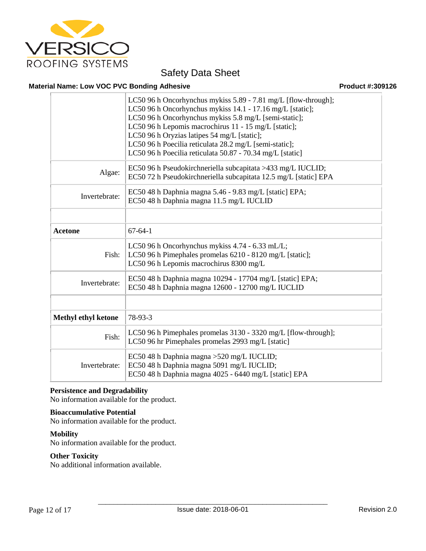

## **Material Name: Low VOC PVC Bonding Adhesive <b>Product #:309126** Product #:309126

|                            | LC50 96 h Oncorhynchus mykiss 5.89 - 7.81 mg/L [flow-through];<br>LC50 96 h Oncorhynchus mykiss 14.1 - 17.16 mg/L [static];<br>LC50 96 h Oncorhynchus mykiss 5.8 mg/L [semi-static];<br>LC50 96 h Lepomis macrochirus 11 - 15 mg/L [static];<br>LC50 96 h Oryzias latipes 54 mg/L [static];<br>LC50 96 h Poecilia reticulata 28.2 mg/L [semi-static];<br>LC50 96 h Poecilia reticulata 50.87 - 70.34 mg/L [static] |
|----------------------------|--------------------------------------------------------------------------------------------------------------------------------------------------------------------------------------------------------------------------------------------------------------------------------------------------------------------------------------------------------------------------------------------------------------------|
| Algae:                     | EC50 96 h Pseudokirchneriella subcapitata >433 mg/L IUCLID;<br>EC50 72 h Pseudokirchneriella subcapitata 12.5 mg/L [static] EPA                                                                                                                                                                                                                                                                                    |
| Invertebrate:              | EC50 48 h Daphnia magna 5.46 - 9.83 mg/L [static] EPA;<br>EC50 48 h Daphnia magna 11.5 mg/L IUCLID                                                                                                                                                                                                                                                                                                                 |
|                            |                                                                                                                                                                                                                                                                                                                                                                                                                    |
| <b>Acetone</b>             | $67-64-1$                                                                                                                                                                                                                                                                                                                                                                                                          |
| Fish:                      | LC50 96 h Oncorhynchus mykiss 4.74 - 6.33 mL/L;<br>LC50 96 h Pimephales promelas 6210 - 8120 mg/L [static];<br>LC50 96 h Lepomis macrochirus 8300 mg/L                                                                                                                                                                                                                                                             |
| Invertebrate:              | EC50 48 h Daphnia magna 10294 - 17704 mg/L [static] EPA;<br>EC50 48 h Daphnia magna 12600 - 12700 mg/L IUCLID                                                                                                                                                                                                                                                                                                      |
|                            |                                                                                                                                                                                                                                                                                                                                                                                                                    |
| <b>Methyl ethyl ketone</b> | 78-93-3                                                                                                                                                                                                                                                                                                                                                                                                            |
| Fish:                      | LC50 96 h Pimephales promelas 3130 - 3320 mg/L [flow-through];<br>LC50 96 hr Pimephales promelas 2993 mg/L [static]                                                                                                                                                                                                                                                                                                |
| Invertebrate:              | EC50 48 h Daphnia magna > 520 mg/L IUCLID;<br>EC50 48 h Daphnia magna 5091 mg/L IUCLID;<br>EC50 48 h Daphnia magna 4025 - 6440 mg/L [static] EPA                                                                                                                                                                                                                                                                   |

## **Persistence and Degradability**

No information available for the product.

## **Bioaccumulative Potential**

No information available for the product.

## **Mobility**

No information available for the product.

## **Other Toxicity**

No additional information available.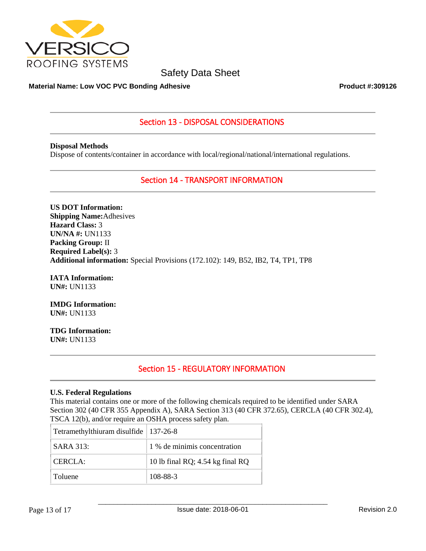

## **Material Name: Low VOC PVC Bonding Adhesive <b>Product #:309126** Product #:309126

## Section 13 - DISPOSAL CONSIDERATIONS

**Disposal Methods** Dispose of contents/container in accordance with local/regional/national/international regulations.

Section 14 - TRANSPORT INFORMATION

**US DOT Information: Shipping Name:**Adhesives **Hazard Class:** 3 **UN/NA #:** UN1133 **Packing Group:** II **Required Label(s):** 3 **Additional information:** Special Provisions (172.102): 149, B52, IB2, T4, TP1, TP8

**IATA Information: UN#:** UN1133

**IMDG Information: UN#:** UN1133

**TDG Information: UN#:** UN1133

## Section 15 - REGULATORY INFORMATION

## **U.S. Federal Regulations**

This material contains one or more of the following chemicals required to be identified under SARA Section 302 (40 CFR 355 Appendix A), SARA Section 313 (40 CFR 372.65), CERCLA (40 CFR 302.4), TSCA 12(b), and/or require an OSHA process safety plan.

| Tetramethylthiuram disulfide   137-26-8 |                                  |
|-----------------------------------------|----------------------------------|
| SARA 313:                               | 1 % de minimis concentration     |
| CERCLA:                                 | 10 lb final RQ; 4.54 kg final RQ |
| Toluene                                 | 108-88-3                         |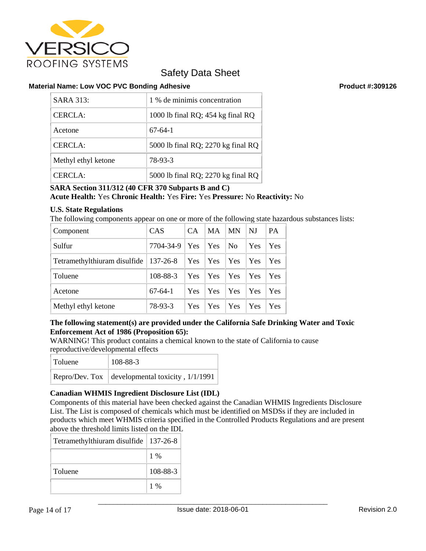

## **Material Name: Low VOC PVC Bonding Adhesive <b>Product #:309126** Product #:309126

| SARA 313:           | 1 % de minimis concentration       |
|---------------------|------------------------------------|
| <b>CERCLA:</b>      | 1000 lb final RQ; 454 kg final RQ  |
| Acetone             | $67-64-1$                          |
| <b>CERCLA:</b>      | 5000 lb final RQ; 2270 kg final RQ |
| Methyl ethyl ketone | 78-93-3                            |
| CERCLA:             | 5000 lb final RQ; 2270 kg final RQ |

## **SARA Section 311/312 (40 CFR 370 Subparts B and C) Acute Health:** Yes **Chronic Health:** Yes **Fire:** Yes **Pressure:** No **Reactivity:** No

## **U.S. State Regulations**

The following components appear on one or more of the following state hazardous substances lists:

| Component                    | <b>CAS</b>  | <b>CA</b> | MA  | <b>MN</b>      | NJ  | <b>PA</b>  |
|------------------------------|-------------|-----------|-----|----------------|-----|------------|
| Sulfur                       | 7704-34-9   | Yes       | Yes | N <sub>0</sub> | Yes | Yes.       |
| Tetramethylthiuram disulfide | $ 137-26-8$ | Yes       | Yes | <b>Yes</b>     | Yes | <b>Yes</b> |
| Toluene                      | 108-88-3    | Yes       | Yes | Yes            | Yes | <b>Yes</b> |
| Acetone                      | $67-64-1$   | Yes       | Yes | Yes            | Yes | <b>Yes</b> |
| Methyl ethyl ketone          | 78-93-3     | Yes       | Yes | Yes            | Yes | Yes        |

## **The following statement(s) are provided under the California Safe Drinking Water and Toxic Enforcement Act of 1986 (Proposition 65):**

WARNING! This product contains a chemical known to the state of California to cause reproductive/developmental effects

| Toluene | 108-88-3                                            |
|---------|-----------------------------------------------------|
|         | Repro/Dev. Tox   developmental toxicity, $1/1/1991$ |

## **Canadian WHMIS Ingredient Disclosure List (IDL)**

Components of this material have been checked against the Canadian WHMIS Ingredients Disclosure List. The List is composed of chemicals which must be identified on MSDSs if they are included in products which meet WHMIS criteria specified in the Controlled Products Regulations and are present above the threshold limits listed on the IDL

| Tetramethylthiuram disulfide   137-26-8 |          |
|-----------------------------------------|----------|
|                                         | $1\%$    |
| Toluene                                 | 108-88-3 |
|                                         | $1\%$    |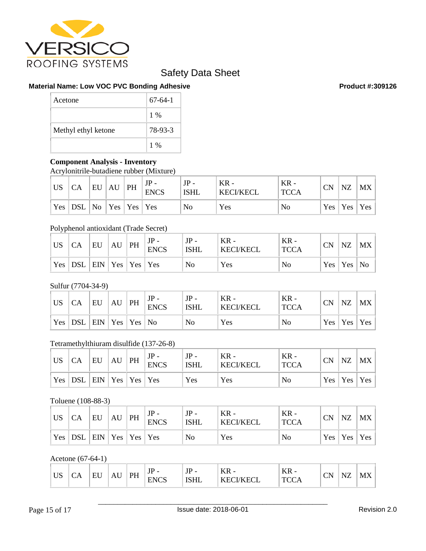

## **Material Name: Low VOC PVC Bonding Adhesive <b>Product #:309126** Product #:309126

| Acetone             | $67-64-1$ |
|---------------------|-----------|
|                     | $1\%$     |
| Methyl ethyl ketone | 78-93-3   |
|                     | $1\%$     |

## **Component Analysis - Inventory**

Acrylonitrile-butadiene rubber (Mixture)

| <b>US</b> | СA                                                         | EU | AU | PH                                             | JP<br><b>ENCS</b> | <b>ISHL</b> | $KR -$<br><b>KECI/KECL</b> | $KR -$<br><b>TCCA</b> | <b>CN</b> | NZ | $MX \mid$       |
|-----------|------------------------------------------------------------|----|----|------------------------------------------------|-------------------|-------------|----------------------------|-----------------------|-----------|----|-----------------|
|           | $\left  \right.$ Yes $\left  \right.$ DSL $\left  \right.$ |    |    | $\vert$ No $\vert$ Yes $\vert$ Yes $\vert$ Yes |                   | No          | Yes                        | No                    |           |    | Yes   Yes   Yes |

## Polyphenol antioxidant (Trade Secret)

| <b>US</b>  | CA           | EU                              | AU | PH | $JP -$<br><b>ENCS</b> | $JP -$<br><b>ISHL</b> | $KR -$<br><b>KECI/KECL</b> | $KR -$<br><b>TCCA</b> | <b>CN</b> | NZ             | $MX \mid$ |
|------------|--------------|---------------------------------|----|----|-----------------------|-----------------------|----------------------------|-----------------------|-----------|----------------|-----------|
| $Yes \mid$ | $\mathsf{L}$ | $ $ EIN $ $ Yes $ $ Yes $ $ Yes |    |    |                       | No                    | Yes                        | No                    |           | Yes   Yes   No |           |

## Sulfur (7704-34-9)

| <b>US</b> | CA  | EU | AU | PH                   | $JP -$<br><b>ENCS</b> | $JP -$<br><b>ISHL</b> | $KR -$<br><b>KECI/KECL</b> | $KR -$<br><b>TCCA</b> | <b>CN</b> | NZ  | MX  |
|-----------|-----|----|----|----------------------|-----------------------|-----------------------|----------------------------|-----------------------|-----------|-----|-----|
| Yes       | DSL |    |    | EIN   Yes   Yes   No |                       | No                    | Yes                        | No                    | Yes       | Yes | Yes |

## Tetramethylthiuram disulfide (137-26-8)

| <b>US</b>                                 | CA    | EU                              | AU | PH | $JP -$<br><b>ENCS</b> | $JP -$<br><b>ISHL</b> | $KR -$<br><b>KECI/KECL</b> | $KR -$<br><b>TCCA</b> | <b>CN</b> | <b>NZ</b>       | MX |
|-------------------------------------------|-------|---------------------------------|----|----|-----------------------|-----------------------|----------------------------|-----------------------|-----------|-----------------|----|
| $\vert$ Yes <sup><math>\vert</math></sup> | ' DSL | $ $ EIN $ $ Yes $ $ Yes $ $ Yes |    |    |                       | Yes                   | Yes                        | No                    |           | Yes   Yes   Yes |    |

## Toluene (108-88-3)

| <b>US</b>  | CA               | EU                 | AU | PH | $JP -$<br><b>ENCS</b> | $JP -$<br><b>ISHL</b> | $KR -$<br><b>KECI/KECL</b> | $KR -$<br><b>TCCA</b> | <b>CN</b> | NZ  | MX  |
|------------|------------------|--------------------|----|----|-----------------------|-----------------------|----------------------------|-----------------------|-----------|-----|-----|
| $Yes \mid$ | DSL <sup>'</sup> | $ ENN Yes Yes Yes$ |    |    |                       | N <sub>o</sub>        | Yes                        | No                    | Yes       | Yes | Yes |

Acetone (67-64-1)

| $T$ $T$ $C$<br>ບມ | ◡▴ | $- - -$<br>. .<br>◡ | 1 X U | DU<br>. | $-$<br>1 L<br>-<br>JI<br><b>ENCS</b><br>⊷<br>ັ | <b>TD</b><br>-<br>$J_{\perp}$<br><b>TOTT</b><br>שונטו | T<br>v<br>г<br><b>TTT</b><br>.,<br>-<br>н.<br>17LVL<br> | ₽<br>n<br><b>TTT</b><br>ິ | $\sim$<br>`N.<br>ິ | $\sqrt{17}$<br>N<br>$\sim$ | N<br><b>TATT</b> |
|-------------------|----|---------------------|-------|---------|------------------------------------------------|-------------------------------------------------------|---------------------------------------------------------|---------------------------|--------------------|----------------------------|------------------|
|-------------------|----|---------------------|-------|---------|------------------------------------------------|-------------------------------------------------------|---------------------------------------------------------|---------------------------|--------------------|----------------------------|------------------|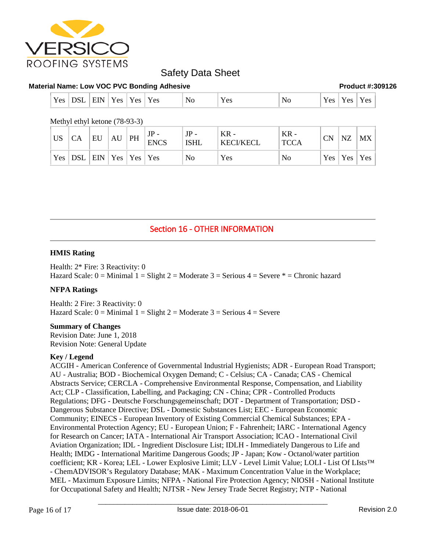

## **Material Name: Low VOC PVC Bonding Adhesive Product #:309126 Product #:309126**

| Yes<br>$ -$<br>$\sim$ $\sim$<br><b>EIN</b><br>Yes<br>DSL<br>N0<br><b>Yes</b><br>y es | $V \alpha c$<br>1 U.S | $\sum_{\alpha}$<br>No<br><b>Y</b> es<br>$\mathbf{v} \, \mathbf{v}$<br>ັບ<br>$\overline{\phantom{a}}$<br>- |
|--------------------------------------------------------------------------------------|-----------------------|-----------------------------------------------------------------------------------------------------------|
|--------------------------------------------------------------------------------------|-----------------------|-----------------------------------------------------------------------------------------------------------|

Methyl ethyl ketone (78-93-3)

| <b>US</b> | CA                                                                      | EU | AU | PH | <b>ENCS</b> | $JP -$<br><b>ISHL</b> | $KR -$<br>  KECI/KECL | $KR -$<br><b>TCCA</b> | <b>CN</b> | <b>NZ</b> | MX              |
|-----------|-------------------------------------------------------------------------|----|----|----|-------------|-----------------------|-----------------------|-----------------------|-----------|-----------|-----------------|
|           | $\vert$ Yes $\vert$ DSL $\vert$ EIN $\vert$ Yes $\vert$ Yes $\vert$ Yes |    |    |    |             | No                    | Yes                   | No                    |           |           | Yes   Yes   Yes |

## Section 16 - OTHER INFORMATION

## **HMIS Rating**

Health: 2\* Fire: 3 Reactivity: 0 Hazard Scale:  $0 =$  Minimal  $1 =$  Slight  $2 =$  Moderate  $3 =$  Serious  $4 =$  Severe  $* =$  Chronic hazard

## **NFPA Ratings**

Health: 2 Fire: 3 Reactivity: 0 Hazard Scale:  $0 =$  Minimal  $1 =$  Slight  $2 =$  Moderate  $3 =$  Serious  $4 =$  Severe

## **Summary of Changes**

Revision Date: June 1, 2018 Revision Note: General Update

## **Key / Legend**

ACGIH - American Conference of Governmental Industrial Hygienists; ADR - European Road Transport; AU - Australia; BOD - Biochemical Oxygen Demand; C - Celsius; CA - Canada; CAS - Chemical Abstracts Service; CERCLA - Comprehensive Environmental Response, Compensation, and Liability Act; CLP - Classification, Labelling, and Packaging; CN - China; CPR - Controlled Products Regulations; DFG - Deutsche Forschungsgemeinschaft; DOT - Department of Transportation; DSD - Dangerous Substance Directive; DSL - Domestic Substances List; EEC - European Economic Community; EINECS - European Inventory of Existing Commercial Chemical Substances; EPA - Environmental Protection Agency; EU - European Union; F - Fahrenheit; IARC - International Agency for Research on Cancer; IATA - International Air Transport Association; ICAO - International Civil Aviation Organization; IDL - Ingredient Disclosure List; IDLH - Immediately Dangerous to Life and Health; IMDG - International Maritime Dangerous Goods; JP - Japan; Kow - Octanol/water partition coefficient; KR - Korea; LEL - Lower Explosive Limit; LLV - Level Limit Value; LOLI - List Of LIsts™ - ChemADVISOR's Regulatory Database; MAK - Maximum Concentration Value in the Workplace; MEL - Maximum Exposure Limits; NFPA - National Fire Protection Agency; NIOSH - National Institute for Occupational Safety and Health; NJTSR - New Jersey Trade Secret Registry; NTP - National